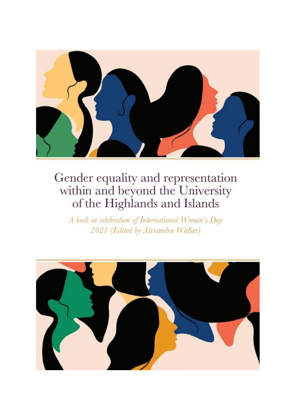

A book in celebration of International Women's Day 2021 (Edited by Alexandra Walker)

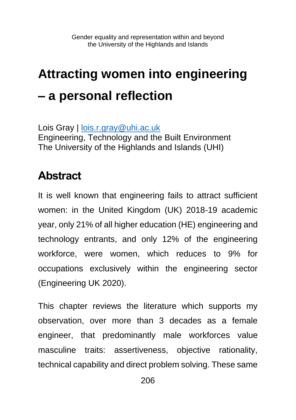## **Attracting women into engineering – a personal reflection**

Lois Gray | [lois.r.gray@uhi.ac.uk](mailto:lois.r.gray@uhi.ac.uk) Engineering, Technology and the Built Environment The University of the Highlands and Islands (UHI)

## **Abstract**

It is well known that engineering fails to attract sufficient women: in the United Kingdom (UK) 2018-19 academic year, only 21% of all higher education (HE) engineering and technology entrants, and only 12% of the engineering workforce, were women, which reduces to 9% for occupations exclusively within the engineering sector (Engineering UK 2020).

This chapter reviews the literature which supports my observation, over more than 3 decades as a female engineer, that predominantly male workforces value masculine traits: assertiveness, objective rationality, technical capability and direct problem solving. These same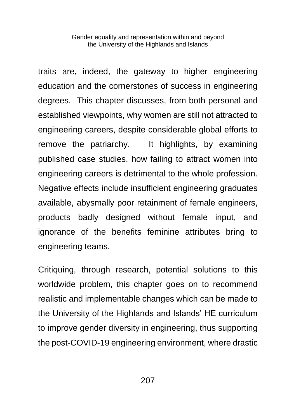traits are, indeed, the gateway to higher engineering education and the cornerstones of success in engineering degrees. This chapter discusses, from both personal and established viewpoints, why women are still not attracted to engineering careers, despite considerable global efforts to remove the patriarchy. It highlights, by examining published case studies, how failing to attract women into engineering careers is detrimental to the whole profession. Negative effects include insufficient engineering graduates available, abysmally poor retainment of female engineers, products badly designed without female input, and ignorance of the benefits feminine attributes bring to engineering teams.

Critiquing, through research, potential solutions to this worldwide problem, this chapter goes on to recommend realistic and implementable changes which can be made to the University of the Highlands and Islands' HE curriculum to improve gender diversity in engineering, thus supporting the post-COVID-19 engineering environment, where drastic

207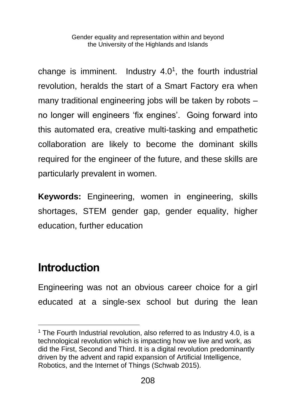change is imminent. Industry  $4.0<sup>1</sup>$ , the fourth industrial revolution, heralds the start of a Smart Factory era when many traditional engineering jobs will be taken by robots – no longer will engineers 'fix engines'. Going forward into this automated era, creative multi-tasking and empathetic collaboration are likely to become the dominant skills required for the engineer of the future, and these skills are particularly prevalent in women.

**Keywords:** Engineering, women in engineering, skills shortages, STEM gender gap, gender equality, higher education, further education

## **Introduction**

Engineering was not an obvious career choice for a girl educated at a single-sex school but during the lean

 $1$  The Fourth Industrial revolution, also referred to as Industry 4.0, is a technological revolution which is impacting how we live and work, as did the First, Second and Third. It is a digital revolution predominantly driven by the advent and rapid expansion of Artificial Intelligence, Robotics, and the Internet of Things (Schwab 2015).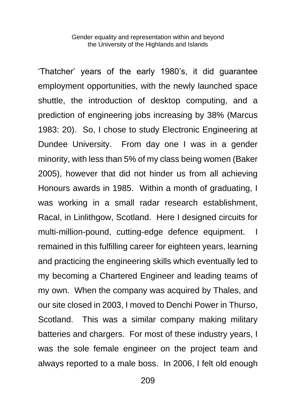'Thatcher' years of the early 1980's, it did guarantee employment opportunities, with the newly launched space shuttle, the introduction of desktop computing, and a prediction of engineering jobs increasing by 38% (Marcus 1983: 20). So, I chose to study Electronic Engineering at Dundee University. From day one I was in a gender minority, with less than 5% of my class being women (Baker 2005), however that did not hinder us from all achieving Honours awards in 1985. Within a month of graduating, I was working in a small radar research establishment, Racal, in Linlithgow, Scotland. Here I designed circuits for multi-million-pound, cutting-edge defence equipment. I remained in this fulfilling career for eighteen years, learning and practicing the engineering skills which eventually led to my becoming a Chartered Engineer and leading teams of my own. When the company was acquired by Thales, and our site closed in 2003, I moved to Denchi Power in Thurso, Scotland. This was a similar company making military batteries and chargers. For most of these industry years, I was the sole female engineer on the project team and always reported to a male boss. In 2006, I felt old enough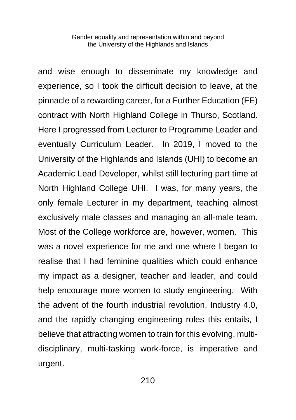and wise enough to disseminate my knowledge and experience, so I took the difficult decision to leave, at the pinnacle of a rewarding career, for a Further Education (FE) contract with North Highland College in Thurso, Scotland. Here I progressed from Lecturer to Programme Leader and eventually Curriculum Leader. In 2019, I moved to the University of the Highlands and Islands (UHI) to become an Academic Lead Developer, whilst still lecturing part time at North Highland College UHI. I was, for many years, the only female Lecturer in my department, teaching almost exclusively male classes and managing an all-male team. Most of the College workforce are, however, women. This was a novel experience for me and one where I began to realise that I had feminine qualities which could enhance my impact as a designer, teacher and leader, and could help encourage more women to study engineering. With the advent of the fourth industrial revolution, Industry 4.0, and the rapidly changing engineering roles this entails, I believe that attracting women to train for this evolving, multidisciplinary, multi-tasking work-force, is imperative and urgent.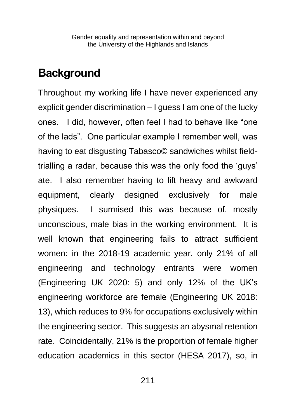### **Background**

Throughout my working life I have never experienced any explicit gender discrimination – I guess I am one of the lucky ones. I did, however, often feel I had to behave like "one of the lads". One particular example I remember well, was having to eat disgusting Tabasco© sandwiches whilst fieldtrialling a radar, because this was the only food the 'guys' ate. I also remember having to lift heavy and awkward equipment, clearly designed exclusively for male physiques. I surmised this was because of, mostly unconscious, male bias in the working environment. It is well known that engineering fails to attract sufficient women: in the 2018-19 academic year, only 21% of all engineering and technology entrants were women (Engineering UK 2020: 5) and only 12% of the UK's engineering workforce are female (Engineering UK 2018: 13), which reduces to 9% for occupations exclusively within the engineering sector. This suggests an abysmal retention rate. Coincidentally, 21% is the proportion of female higher education academics in this sector (HESA 2017), so, in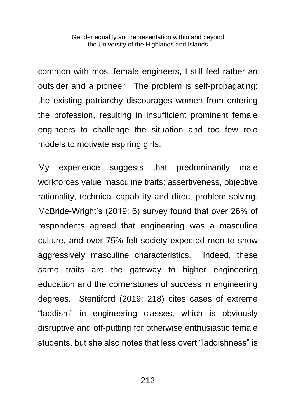common with most female engineers, I still feel rather an outsider and a pioneer. The problem is self-propagating: the existing patriarchy discourages women from entering the profession, resulting in insufficient prominent female engineers to challenge the situation and too few role models to motivate aspiring girls.

My experience suggests that predominantly male workforces value masculine traits: assertiveness, objective rationality, technical capability and direct problem solving. McBride-Wright's (2019: 6) survey found that over 26% of respondents agreed that engineering was a masculine culture, and over 75% felt society expected men to show aggressively masculine characteristics. Indeed, these same traits are the gateway to higher engineering education and the cornerstones of success in engineering degrees. Stentiford (2019: 218) cites cases of extreme "laddism" in engineering classes, which is obviously disruptive and off-putting for otherwise enthusiastic female students, but she also notes that less overt "laddishness" is

212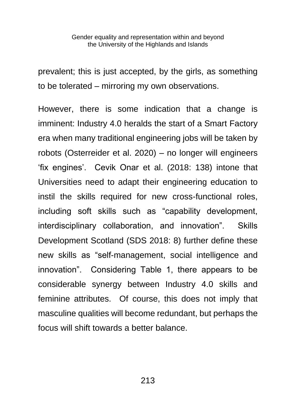prevalent; this is just accepted, by the girls, as something to be tolerated – mirroring my own observations.

However, there is some indication that a change is imminent: Industry 4.0 heralds the start of a Smart Factory era when many traditional engineering jobs will be taken by robots (Osterreider et al. 2020) – no longer will engineers 'fix engines'. Cevik Onar et al. (2018: 138) intone that Universities need to adapt their engineering education to instil the skills required for new cross-functional roles, including soft skills such as "capability development, interdisciplinary collaboration, and innovation". Skills Development Scotland (SDS 2018: 8) further define these new skills as "self-management, social intelligence and innovation". Considering Table 1, there appears to be considerable synergy between Industry 4.0 skills and feminine attributes. Of course, this does not imply that masculine qualities will become redundant, but perhaps the focus will shift towards a better balance.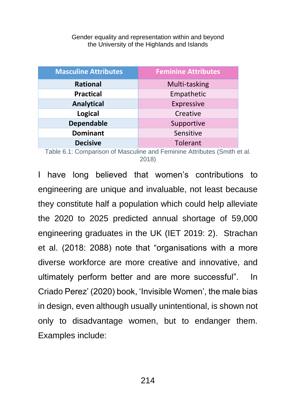| <b>Masculine Attributes</b> | <b>Feminine Attributes</b> |
|-----------------------------|----------------------------|
| Rational                    | Multi-tasking              |
| <b>Practical</b>            | Empathetic                 |
| <b>Analytical</b>           | Expressive                 |
| <b>Logical</b>              | Creative                   |
| <b>Dependable</b>           | Supportive                 |
| <b>Dominant</b>             | Sensitive                  |
| <b>Decisive</b>             | Tolerant                   |

Table 6.1: Comparison of Masculine and Feminine Attributes (Smith et al. 2018)

I have long believed that women's contributions to engineering are unique and invaluable, not least because they constitute half a population which could help alleviate the 2020 to 2025 predicted annual shortage of 59,000 engineering graduates in the UK (IET 2019: 2). Strachan et al. (2018: 2088) note that "organisations with a more diverse workforce are more creative and innovative, and ultimately perform better and are more successful". In Criado Perez' (2020) book, 'Invisible Women', the male bias in design, even although usually unintentional, is shown not only to disadvantage women, but to endanger them. Examples include: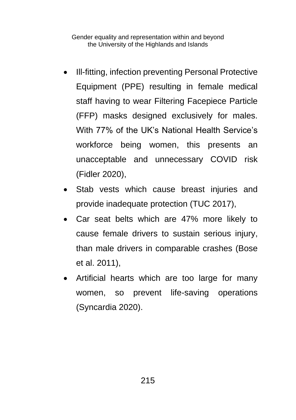- Ill-fitting, infection preventing Personal Protective Equipment (PPE) resulting in female medical staff having to wear Filtering Facepiece Particle (FFP) masks designed exclusively for males. With 77% of the UK's National Health Service's workforce being women, this presents an unacceptable and unnecessary COVID risk (Fidler 2020),
- Stab vests which cause breast injuries and provide inadequate protection (TUC 2017),
- Car seat belts which are 47% more likely to cause female drivers to sustain serious injury, than male drivers in comparable crashes (Bose et al. 2011),
- Artificial hearts which are too large for many women, so prevent life-saving operations (Syncardia 2020).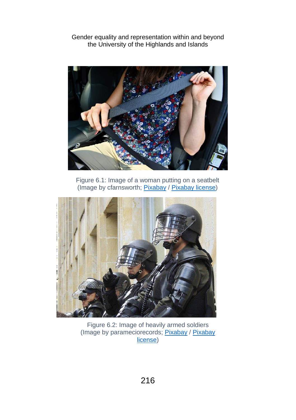

Figure 6.1: Image of a woman putting on a seatbelt (Image by cfarnsworth; [Pixabay](https://pixabay.com/photos/seat-belt-seatbelt-vehicle-4227630/) / [Pixabay license\)](https://pixabay.com/service/license/)



Figure 6.2: Image of heavily armed soldiers (Image by parameciorecords; [Pixabay](https://pixabay.com/photos/police-bogota-riot-swat-275875/) / Pixabay [license\)](https://pixabay.com/service/license/)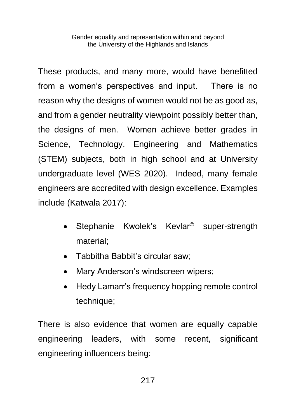These products, and many more, would have benefitted from a women's perspectives and input. There is no reason why the designs of women would not be as good as, and from a gender neutrality viewpoint possibly better than, the designs of men. Women achieve better grades in Science, Technology, Engineering and Mathematics (STEM) subjects, both in high school and at University undergraduate level (WES 2020). Indeed, many female engineers are accredited with design excellence. Examples include (Katwala 2017):

- Stephanie Kwolek's Kevlar<sup>®</sup> super-strength material;
- Tabbitha Babbit's circular saw;
- Mary Anderson's windscreen wipers:
- Hedy Lamarr's frequency hopping remote control technique;

There is also evidence that women are equally capable engineering leaders, with some recent, significant engineering influencers being: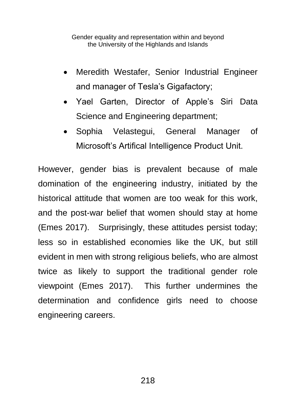- Meredith Westafer, Senior Industrial Engineer and manager of Tesla's Gigafactory;
- Yael Garten, Director of Apple's Siri Data Science and Engineering department;
- Sophia Velastegui, General Manager of Microsoft's Artifical Intelligence Product Unit.

However, gender bias is prevalent because of male domination of the engineering industry, initiated by the historical attitude that women are too weak for this work, and the post-war belief that women should stay at home (Emes 2017). Surprisingly, these attitudes persist today; less so in established economies like the UK, but still evident in men with strong religious beliefs, who are almost twice as likely to support the traditional gender role viewpoint (Emes 2017). This further undermines the determination and confidence girls need to choose engineering careers.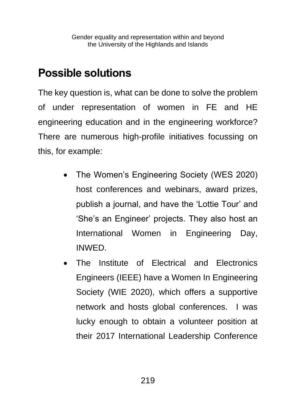## **Possible solutions**

The key question is, what can be done to solve the problem of under representation of women in FE and HE engineering education and in the engineering workforce? There are numerous high-profile initiatives focussing on this, for example:

- The Women's Engineering Society (WES 2020) host conferences and webinars, award prizes, publish a journal, and have the 'Lottie Tour' and 'She's an Engineer' projects. They also host an International Women in Engineering Day, INWED.
- The Institute of Electrical and Electronics Engineers (IEEE) have a Women In Engineering Society (WIE 2020), which offers a supportive network and hosts global conferences. I was lucky enough to obtain a volunteer position at their 2017 International Leadership Conference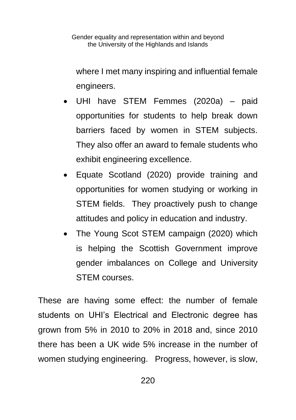where I met many inspiring and influential female engineers.

- UHI have STEM Femmes (2020a) paid opportunities for students to help break down barriers faced by women in STEM subjects. They also offer an award to female students who exhibit engineering excellence.
- Equate Scotland (2020) provide training and opportunities for women studying or working in STEM fields. They proactively push to change attitudes and policy in education and industry.
- The Young Scot STEM campaign (2020) which is helping the Scottish Government improve gender imbalances on College and University STEM courses.

These are having some effect: the number of female students on UHI's Electrical and Electronic degree has grown from 5% in 2010 to 20% in 2018 and, since 2010 there has been a UK wide 5% increase in the number of women studying engineering. Progress, however, is slow,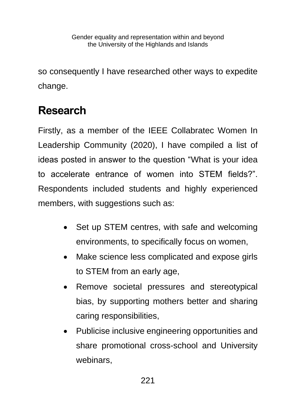so consequently I have researched other ways to expedite change.

## **Research**

Firstly, as a member of the IEEE Collabratec Women In Leadership Community (2020), I have compiled a list of ideas posted in answer to the question "What is your idea to accelerate entrance of women into STEM fields?". Respondents included students and highly experienced members, with suggestions such as:

- Set up STEM centres, with safe and welcoming environments, to specifically focus on women,
- Make science less complicated and expose girls to STEM from an early age,
- Remove societal pressures and stereotypical bias, by supporting mothers better and sharing caring responsibilities,
- Publicise inclusive engineering opportunities and share promotional cross-school and University webinars,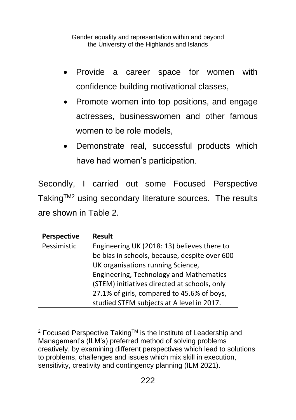- Provide a career space for women with confidence building motivational classes,
- Promote women into top positions, and engage actresses, businesswomen and other famous women to be role models,
- Demonstrate real, successful products which have had women's participation.

Secondly, I carried out some Focused Perspective Taking™<sup>2</sup> using secondary literature sources. The results are shown in Table 2.

| <b>Perspective</b> | <b>Result</b>                                 |
|--------------------|-----------------------------------------------|
| Pessimistic        | Engineering UK (2018: 13) believes there to   |
|                    | be bias in schools, because, despite over 600 |
|                    | UK organisations running Science,             |
|                    | Engineering, Technology and Mathematics       |
|                    | (STEM) initiatives directed at schools, only  |
|                    | 27.1% of girls, compared to 45.6% of boys,    |
|                    | studied STEM subjects at A level in 2017.     |

<sup>&</sup>lt;sup>2</sup> Focused Perspective Taking™ is the Institute of Leadership and Management's (ILM's) preferred method of solving problems creatively, by examining different perspectives which lead to solutions to problems, challenges and issues which mix skill in execution, sensitivity, creativity and contingency planning (ILM 2021).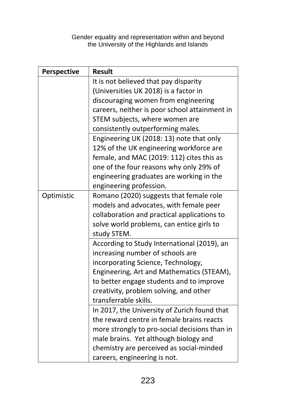| Perspective | <b>Result</b>                                                                     |
|-------------|-----------------------------------------------------------------------------------|
|             | It is not believed that pay disparity                                             |
|             | (Universities UK 2018) is a factor in                                             |
|             | discouraging women from engineering                                               |
|             | careers, neither is poor school attainment in                                     |
|             | STEM subjects, where women are                                                    |
|             | consistently outperforming males.                                                 |
|             | Engineering UK (2018: 13) note that only                                          |
|             | 12% of the UK engineering workforce are                                           |
|             | female, and MAC (2019: 112) cites this as                                         |
|             | one of the four reasons why only 29% of                                           |
|             | engineering graduates are working in the                                          |
|             | engineering profession.                                                           |
| Optimistic  | Romano (2020) suggests that female role                                           |
|             | models and advocates, with female peer                                            |
|             | collaboration and practical applications to                                       |
|             | solve world problems, can entice girls to                                         |
|             | study STEM.                                                                       |
|             | According to Study International (2019), an                                       |
|             | increasing number of schools are                                                  |
|             | incorporating Science, Technology,                                                |
|             | Engineering, Art and Mathematics (STEAM),                                         |
|             | to better engage students and to improve                                          |
|             | creativity, problem solving, and other                                            |
|             | transferrable skills.                                                             |
|             | In 2017, the University of Zurich found that                                      |
|             | the reward centre in female brains reacts                                         |
|             | more strongly to pro-social decisions than in                                     |
|             | male brains. Yet although biology and<br>chemistry are perceived as social-minded |
|             |                                                                                   |
|             | careers, engineering is not.                                                      |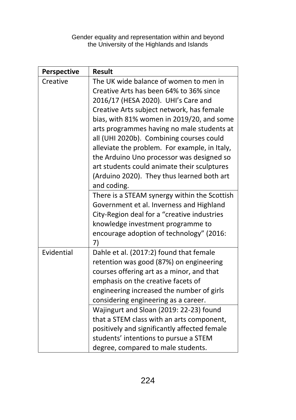| <b>Perspective</b> | <b>Result</b>                                  |
|--------------------|------------------------------------------------|
| Creative           | The UK wide balance of women to men in         |
|                    | Creative Arts has been 64% to 36% since        |
|                    | 2016/17 (HESA 2020). UHI's Care and            |
|                    | Creative Arts subject network, has female      |
|                    | bias, with 81% women in 2019/20, and some      |
|                    | arts programmes having no male students at     |
|                    | all (UHI 2020b). Combining courses could       |
|                    | alleviate the problem. For example, in Italy,  |
|                    | the Arduino Uno processor was designed so      |
|                    | art students could animate their sculptures    |
|                    | (Arduino 2020). They thus learned both art     |
|                    | and coding.                                    |
|                    | There is a STEAM synergy within the Scottish   |
|                    | Government et al. Inverness and Highland       |
|                    | City-Region deal for a "creative industries    |
|                    | knowledge investment programme to              |
|                    | encourage adoption of technology" (2016:<br>7) |
| Evidential         | Dahle et al. (2017:2) found that female        |
|                    | retention was good (87%) on engineering        |
|                    | courses offering art as a minor, and that      |
|                    | emphasis on the creative facets of             |
|                    | engineering increased the number of girls      |
|                    | considering engineering as a career.           |
|                    | Wajingurt and Sloan (2019: 22-23) found        |
|                    | that a STEM class with an arts component,      |
|                    | positively and significantly affected female   |
|                    | students' intentions to pursue a STEM          |
|                    | degree, compared to male students.             |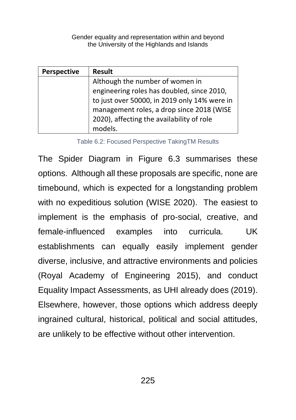| <b>Perspective</b> | <b>Result</b>                                |
|--------------------|----------------------------------------------|
|                    | Although the number of women in              |
|                    | engineering roles has doubled, since 2010,   |
|                    | to just over 50000, in 2019 only 14% were in |
|                    | management roles, a drop since 2018 (WISE    |
|                    | 2020), affecting the availability of role    |
|                    | models.                                      |

Table 6.2: Focused Perspective TakingTM Results

The Spider Diagram in Figure 6.3 summarises these options. Although all these proposals are specific, none are timebound, which is expected for a longstanding problem with no expeditious solution (WISE 2020). The easiest to implement is the emphasis of pro-social, creative, and female-influenced examples into curricula. UK establishments can equally easily implement gender diverse, inclusive, and attractive environments and policies (Royal Academy of Engineering 2015), and conduct Equality Impact Assessments, as UHI already does (2019). Elsewhere, however, those options which address deeply ingrained cultural, historical, political and social attitudes, are unlikely to be effective without other intervention.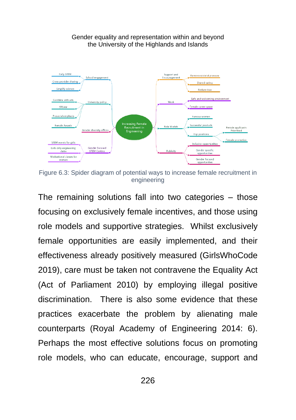

Figure 6.3: Spider diagram of potential ways to increase female recruitment in engineering

The remaining solutions fall into two categories – those focusing on exclusively female incentives, and those using role models and supportive strategies. Whilst exclusively female opportunities are easily implemented, and their effectiveness already positively measured (GirlsWhoCode 2019), care must be taken not contravene the Equality Act (Act of Parliament 2010) by employing illegal positive discrimination. There is also some evidence that these practices exacerbate the problem by alienating male counterparts (Royal Academy of Engineering 2014: 6). Perhaps the most effective solutions focus on promoting role models, who can educate, encourage, support and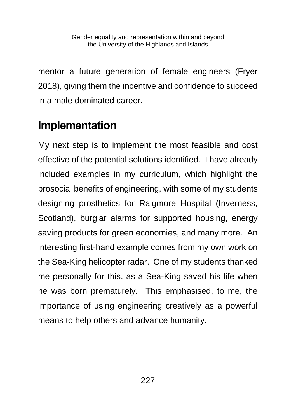mentor a future generation of female engineers (Fryer 2018), giving them the incentive and confidence to succeed in a male dominated career.

## **Implementation**

My next step is to implement the most feasible and cost effective of the potential solutions identified. I have already included examples in my curriculum, which highlight the prosocial benefits of engineering, with some of my students designing prosthetics for Raigmore Hospital (Inverness, Scotland), burglar alarms for supported housing, energy saving products for green economies, and many more. An interesting first-hand example comes from my own work on the Sea-King helicopter radar. One of my students thanked me personally for this, as a Sea-King saved his life when he was born prematurely. This emphasised, to me, the importance of using engineering creatively as a powerful means to help others and advance humanity.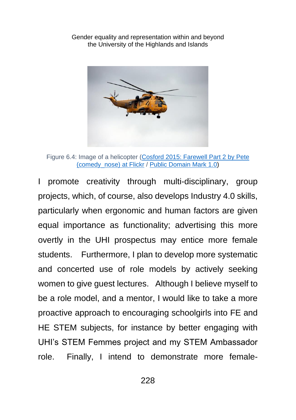

Figure 6.4: Image of a helicopter [\(Cosford 2015: Farewell Part 2 by Pete](https://www.flickr.com/photos/comedynose/18624445670/) [\(comedy\\_nose\)](https://www.flickr.com/photos/comedynose/18624445670/) at Flickr / [Public Domain Mark 1.0\)](https://creativecommons.org/publicdomain/mark/1.0/)

I promote creativity through multi-disciplinary, group projects, which, of course, also develops Industry 4.0 skills, particularly when ergonomic and human factors are given equal importance as functionality; advertising this more overtly in the UHI prospectus may entice more female students. Furthermore, I plan to develop more systematic and concerted use of role models by actively seeking women to give guest lectures. Although I believe myself to be a role model, and a mentor, I would like to take a more proactive approach to encouraging schoolgirls into FE and HE STEM subjects, for instance by better engaging with UHI's STEM Femmes project and my STEM Ambassador role. Finally, I intend to demonstrate more female-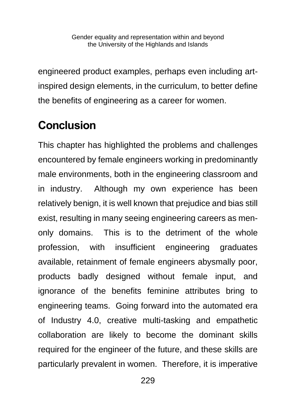engineered product examples, perhaps even including artinspired design elements, in the curriculum, to better define the benefits of engineering as a career for women.

## **Conclusion**

This chapter has highlighted the problems and challenges encountered by female engineers working in predominantly male environments, both in the engineering classroom and in industry. Although my own experience has been relatively benign, it is well known that prejudice and bias still exist, resulting in many seeing engineering careers as menonly domains. This is to the detriment of the whole profession, with insufficient engineering graduates available, retainment of female engineers abysmally poor, products badly designed without female input, and ignorance of the benefits feminine attributes bring to engineering teams. Going forward into the automated era of Industry 4.0, creative multi-tasking and empathetic collaboration are likely to become the dominant skills required for the engineer of the future, and these skills are particularly prevalent in women. Therefore, it is imperative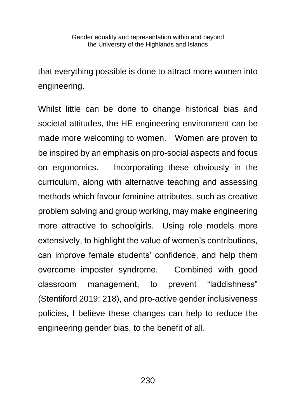that everything possible is done to attract more women into engineering.

Whilst little can be done to change historical bias and societal attitudes, the HE engineering environment can be made more welcoming to women. Women are proven to be inspired by an emphasis on pro-social aspects and focus on ergonomics. Incorporating these obviously in the curriculum, along with alternative teaching and assessing methods which favour feminine attributes, such as creative problem solving and group working, may make engineering more attractive to schoolgirls. Using role models more extensively, to highlight the value of women's contributions, can improve female students' confidence, and help them overcome imposter syndrome. Combined with good classroom management, to prevent "laddishness" (Stentiford 2019: 218), and pro-active gender inclusiveness policies, I believe these changes can help to reduce the engineering gender bias, to the benefit of all.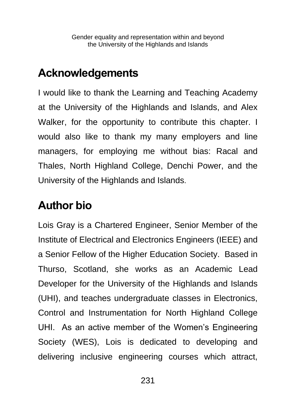## **Acknowledgements**

I would like to thank the Learning and Teaching Academy at the University of the Highlands and Islands, and Alex Walker, for the opportunity to contribute this chapter. I would also like to thank my many employers and line managers, for employing me without bias: Racal and Thales, North Highland College, Denchi Power, and the University of the Highlands and Islands.

## **Author bio**

Lois Gray is a Chartered Engineer, Senior Member of the Institute of Electrical and Electronics Engineers (IEEE) and a Senior Fellow of the Higher Education Society. Based in Thurso, Scotland, she works as an Academic Lead Developer for the University of the Highlands and Islands (UHI), and teaches undergraduate classes in Electronics, Control and Instrumentation for North Highland College UHI. As an active member of the Women's Engineering Society (WES), Lois is dedicated to developing and delivering inclusive engineering courses which attract,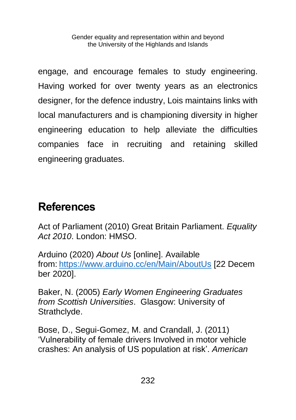engage, and encourage females to study engineering. Having worked for over twenty years as an electronics designer, for the defence industry, Lois maintains links with local manufacturers and is championing diversity in higher engineering education to help alleviate the difficulties companies face in recruiting and retaining skilled engineering graduates.

## **References**

Act of Parliament (2010) Great Britain Parliament. *Equality Act 2010*. London: HMSO.

Arduino (2020) *About Us* [online]. Available from: <https://www.arduino.cc/en/Main/AboutUs> [22 Decem ber 2020].

Baker, N. (2005) *Early Women Engineering Graduates from Scottish Universities*. Glasgow: University of Strathclyde.

Bose, D., Segui-Gomez, M. and Crandall, J. (2011) 'Vulnerability of female drivers Involved in motor vehicle crashes: An analysis of US population at risk'. *American*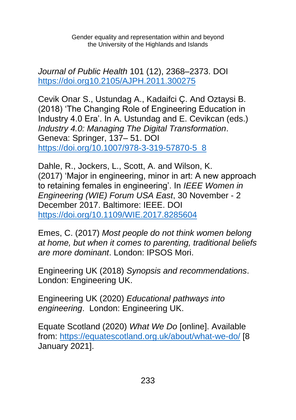*Journal of Public Health* 101 (12), 2368–2373. DOI <https://doi.org10.2105/AJPH.2011.300275>

Cevik Onar S., Ustundag A., Kadaifci Ç. And Oztaysi B. (2018) 'The Changing Role of Engineering Education in Industry 4.0 Era'. In A. Ustundag and E. Cevikcan (eds.) *Industry 4.0: Managing The Digital Transformation*. Geneva: Springer, 137– 51. DOI [https://doi.org/10.1007/978-3-319-57870-5\\_8](https://doi.org/10.1007/978-3-319-57870-5_8)

Dahle, R., Jockers, L., Scott, A. and Wilson, K. (2017) 'Major in engineering, minor in art: A new approach to retaining females in engineering'. In *IEEE Women in Engineering (WIE) Forum USA East*, 30 November - 2 December 2017. Baltimore: IEEE. DOI <https://doi.org/10.1109/WIE.2017.8285604>

Emes, C. (2017) *Most people do not think women belong at home, but when it comes to parenting, traditional beliefs are more dominant*. London: IPSOS Mori.

Engineering UK (2018) *Synopsis and recommendations*. London: Engineering UK.

Engineering UK (2020) *Educational pathways into engineering*. London: Engineering UK.

Equate Scotland (2020) *What We Do* [online]. Available from:<https://equatescotland.org.uk/about/what-we-do/> [8 January 2021].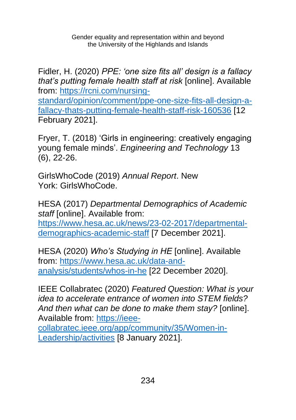Fidler, H. (2020) *PPE: 'one size fits all' design is a fallacy that's putting female health staff at risk* [online]. Available from: [https://rcni.com/nursing-](https://rcni.com/nursing-standard/opinion/comment/ppe-one-size-fits-all-design-a-fallacy-thats-putting-female-health-staff-risk-160536)

[standard/opinion/comment/ppe-one-size-fits-all-design-a](https://rcni.com/nursing-standard/opinion/comment/ppe-one-size-fits-all-design-a-fallacy-thats-putting-female-health-staff-risk-160536)[fallacy-thats-putting-female-health-staff-risk-160536](https://rcni.com/nursing-standard/opinion/comment/ppe-one-size-fits-all-design-a-fallacy-thats-putting-female-health-staff-risk-160536) [12 February 2021].

Fryer, T. (2018) 'Girls in engineering: creatively engaging young female minds'. *Engineering and Technology* 13 (6), 22-26.

GirlsWhoCode (2019) *Annual Report*. New York: GirlsWhoCode.

HESA (2017) *Departmental Demographics of Academic staff* [online]. Available from:

[https://www.hesa.ac.uk/news/23-02-2017/departmental](https://www.hesa.ac.uk/news/23-02-2017/departmental-demographics-academic-staff)[demographics-academic-staff](https://www.hesa.ac.uk/news/23-02-2017/departmental-demographics-academic-staff) [7 December 2021].

HESA (2020) *Who's Studying in HE* [online]. Available from: [https://www.hesa.ac.uk/data-and](https://www.hesa.ac.uk/data-and-analysis/students/whos-in-he)[analysis/students/whos-in-he](https://www.hesa.ac.uk/data-and-analysis/students/whos-in-he) [22 December 2020].

IEEE Collabratec (2020) *Featured Question: What is your idea to accelerate entrance of women into STEM fields? And then what can be done to make them stay?* [online]. Available from: [https://ieee-](https://ieee-collabratec.ieee.org/app/community/35/Women-in-Leadership/activities)

[collabratec.ieee.org/app/community/35/Women-in-](https://ieee-collabratec.ieee.org/app/community/35/Women-in-Leadership/activities)[Leadership/activities](https://ieee-collabratec.ieee.org/app/community/35/Women-in-Leadership/activities) [8 January 2021].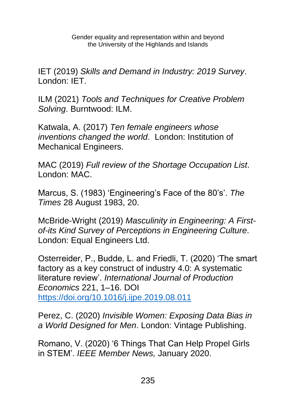IET (2019) *Skills and Demand in Industry: 2019 Survey*. London: IET.

ILM (2021) *Tools and Techniques for Creative Problem Solving*. Burntwood: ILM.

Katwala, A. (2017) *Ten female engineers whose inventions changed the world*. London: Institution of Mechanical Engineers.

MAC (2019) *Full review of the Shortage Occupation List*. London: MAC.

Marcus, S. (1983) 'Engineering's Face of the 80's'. *The Times* 28 August 1983, 20.

McBride-Wright (2019) *Masculinity in Engineering: A Firstof-its Kind Survey of Perceptions in Engineering Culture*. London: Equal Engineers Ltd.

Osterreider, P., Budde, L. and Friedli, T. (2020) 'The smart factory as a key construct of industry 4.0: A systematic literature review'. *International Journal of Production Economics* 221, 1–16. DOI <https://doi.org/10.1016/j.ijpe.2019.08.011>

Perez, C. (2020) *Invisible Women: Exposing Data Bias in a World Designed for Men*. London: Vintage Publishing.

Romano, V. (2020) '6 Things That Can Help Propel Girls in STEM'. *IEEE Member News,* January 2020.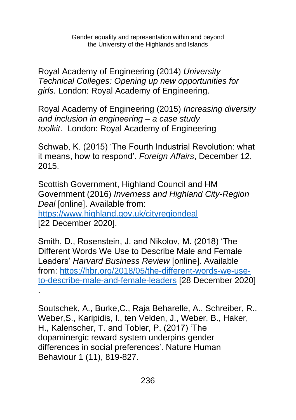Royal Academy of Engineering (2014) *University Technical Colleges: Opening up new opportunities for girls*. London: Royal Academy of Engineering.

Royal Academy of Engineering (2015) *Increasing diversity and inclusion in engineering – a case study toolkit*. London: Royal Academy of Engineering

Schwab, K. (2015) 'The Fourth Industrial Revolution: what it means, how to respond'. *Foreign Affairs*, December 12, 2015.

Scottish Government, Highland Council and HM Government (2016) *Inverness and Highland City-Region Deal* [online]. Available from: <https://www.highland.gov.uk/cityregiondeal> [22 December 2020].

Smith, D., Rosenstein, J. and Nikolov, M. (2018) 'The Different Words We Use to Describe Male and Female Leaders' *Harvard Business Review* [online]. Available from: [https://hbr.org/2018/05/the-different-words-we-use](https://hbr.org/2018/05/the-different-words-we-use-to-describe-male-and-female-leaders)[to-describe-male-and-female-leaders](https://hbr.org/2018/05/the-different-words-we-use-to-describe-male-and-female-leaders) [28 December 2020] .

Soutschek, A., Burke,C., Raja Beharelle, A., Schreiber, R., Weber,S., Karipidis, I., ten Velden, J., Weber, B., Haker, H., Kalenscher, T. and Tobler, P. (2017) 'The dopaminergic reward system underpins gender differences in social preferences'. Nature Human Behaviour 1 (11), 819-827.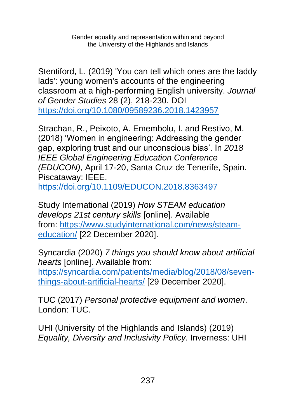Stentiford, L. (2019) 'You can tell which ones are the laddy lads': young women's accounts of the engineering classroom at a high-performing English university. *Journal of Gender Studies* 28 (2), 218-230. DOI <https://doi.org/10.1080/09589236.2018.1423957>

Strachan, R., Peixoto, A. Emembolu, I. and Restivo, M. (2018) 'Women in engineering: Addressing the gender gap, exploring trust and our unconscious bias'. In *2018 IEEE Global Engineering Education Conference (EDUCON)*, April 17-20, Santa Cruz de Tenerife, Spain. Piscataway: IEEE.

<https://doi.org/10.1109/EDUCON.2018.8363497>

Study International (2019) *How STEAM education develops 21st century skills* [online]. Available from: [https://www.studyinternational.com/news/steam](https://www.studyinternational.com/news/steam-education/)[education/](https://www.studyinternational.com/news/steam-education/) [22 December 2020].

Syncardia (2020) *7 things you should know about artificial hearts* [online]. Available from: [https://syncardia.com/patients/media/blog/2018/08/seven](https://syncardia.com/patients/media/blog/2018/08/seven-things-about-artificial-hearts/)[things-about-artificial-hearts/](https://syncardia.com/patients/media/blog/2018/08/seven-things-about-artificial-hearts/) [29 December 2020].

TUC (2017) *Personal protective equipment and women*. London: TUC.

UHI (University of the Highlands and Islands) (2019) *Equality, Diversity and Inclusivity Policy*. Inverness: UHI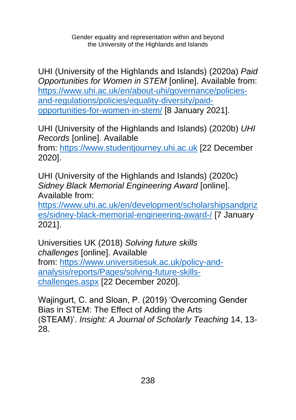UHI (University of the Highlands and Islands) (2020a) *Paid Opportunities for Women in STEM* [online]. Available from: [https://www.uhi.ac.uk/en/about-uhi/governance/policies](https://www.uhi.ac.uk/en/about-uhi/governance/policies-and-regulations/policies/equality-diversity/paid-opportunities-for-women-in-stem/)[and-regulations/policies/equality-diversity/paid](https://www.uhi.ac.uk/en/about-uhi/governance/policies-and-regulations/policies/equality-diversity/paid-opportunities-for-women-in-stem/)[opportunities-for-women-in-stem/](https://www.uhi.ac.uk/en/about-uhi/governance/policies-and-regulations/policies/equality-diversity/paid-opportunities-for-women-in-stem/) [8 January 2021].

UHI (University of the Highlands and Islands) (2020b) *UHI Records* [online]. Available

from: [https://www.studentjourney.uhi.ac.uk](https://www.studentjourney.uhi.ac.uk/) [22 December 2020].

UHI (University of the Highlands and Islands) (2020c) *Sidney Black Memorial Engineering Award* [online]. Available from:

[https://www.uhi.ac.uk/en/development/scholarshipsandpriz](https://www.uhi.ac.uk/en/development/scholarshipsandprizes/sidney-black-memorial-engineering-award-/) [es/sidney-black-memorial-engineering-award-/](https://www.uhi.ac.uk/en/development/scholarshipsandprizes/sidney-black-memorial-engineering-award-/) [7 January 2021].

Universities UK (2018) *Solving future skills challenges* [online]. Available from: [https://www.universitiesuk.ac.uk/policy-and](https://www.universitiesuk.ac.uk/policy-and-analysis/reports/Pages/solving-future-skills-challenges.aspx)[analysis/reports/Pages/solving-future-skills](https://www.universitiesuk.ac.uk/policy-and-analysis/reports/Pages/solving-future-skills-challenges.aspx)[challenges.aspx](https://www.universitiesuk.ac.uk/policy-and-analysis/reports/Pages/solving-future-skills-challenges.aspx) [22 December 2020].

Wajingurt, C. and Sloan, P. (2019) 'Overcoming Gender Bias in STEM: The Effect of Adding the Arts (STEAM)'. *Insight: A Journal of Scholarly Teaching* 14, 13- 28.